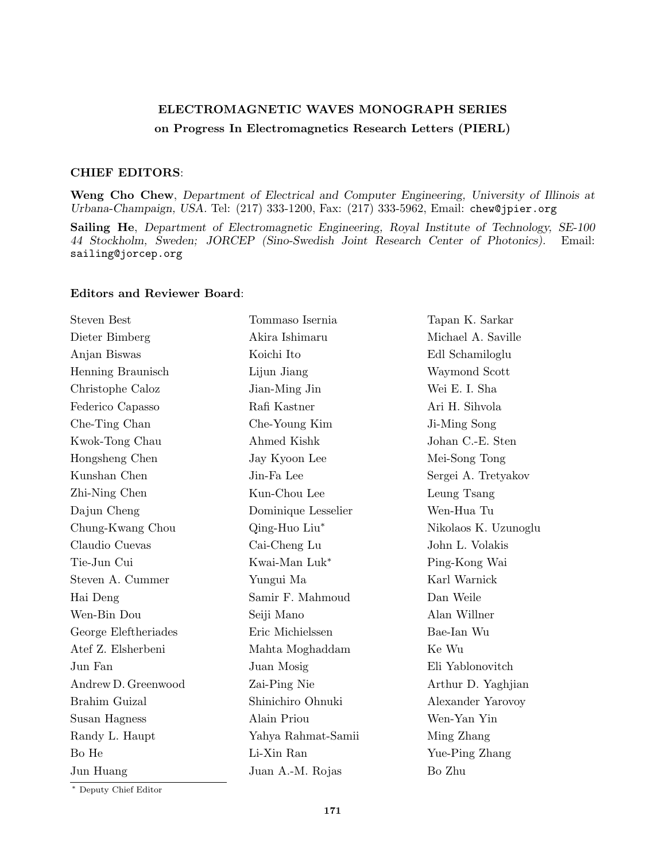## **ELECTROMAGNETIC WAVES MONOGRAPH SERIES on Progress In Electromagnetics Research Letters (PIERL)**

## **CHIEF EDITORS**:

**Weng Cho Chew**, *Department of Electrical and Computer Engineering, University of Illinois at Urbana-Champaign, USA.* Tel: (217) 333-1200, Fax: (217) 333-5962, Email: chew@jpier.org

**Sailing He**, *Department of Electromagnetic Engineering, Royal Institute of Technology, SE-100 44 Stockholm, Sweden; JORCEP (Sino-Swedish Joint Research Center of Photonics).* Email: sailing@jorcep.org

## **Editors and Reviewer Board**:

| <b>Steven Best</b>   | Tommaso Isernia     | Tapan K. Sarkar      |
|----------------------|---------------------|----------------------|
| Dieter Bimberg       | Akira Ishimaru      | Michael A. Saville   |
| Anjan Biswas         | Koichi Ito          | Edl Schamiloglu      |
| Henning Braunisch    | Lijun Jiang         | Waymond Scott        |
| Christophe Caloz     | Jian-Ming Jin       | Wei E. I. Sha        |
| Federico Capasso     | Rafi Kastner        | Ari H. Sihvola       |
| Che-Ting Chan        | Che-Young Kim       | Ji-Ming Song         |
| Kwok-Tong Chau       | Ahmed Kishk         | Johan C.-E. Sten     |
| Hongsheng Chen       | Jay Kyoon Lee       | Mei-Song Tong        |
| Kunshan Chen         | Jin-Fa Lee          | Sergei A. Tretyakov  |
| Zhi-Ning Chen        | Kun-Chou Lee        | Leung Tsang          |
| Dajun Cheng          | Dominique Lesselier | Wen-Hua Tu           |
| Chung-Kwang Chou     | Qing-Huo Liu*       | Nikolaos K. Uzunoglu |
| Claudio Cuevas       | Cai-Cheng Lu        | John L. Volakis      |
| Tie-Jun Cui          | Kwai-Man Luk*       | Ping-Kong Wai        |
| Steven A. Cummer     | Yungui Ma           | Karl Warnick         |
| Hai Deng             | Samir F. Mahmoud    | Dan Weile            |
| Wen-Bin Dou          | Seiji Mano          | Alan Willner         |
| George Eleftheriades | Eric Michielssen    | Bae-Ian Wu           |
| Atef Z. Elsherbeni   | Mahta Moghaddam     | Ke Wu                |
| Jun Fan              | Juan Mosig          | Eli Yablonovitch     |
| Andrew D. Greenwood  | Zai-Ping Nie        | Arthur D. Yaghjian   |
| Brahim Guizal        | Shinichiro Ohnuki   | Alexander Yarovoy    |
| Susan Hagness        | Alain Priou         | Wen-Yan Yin          |
| Randy L. Haupt       | Yahya Rahmat-Samii  | Ming Zhang           |
| Bo He                | Li-Xin Ran          | Yue-Ping Zhang       |
| Jun Huang            | Juan A.-M. Rojas    | Bo Zhu               |
|                      |                     |                      |

*∗* Deputy Chief Editor